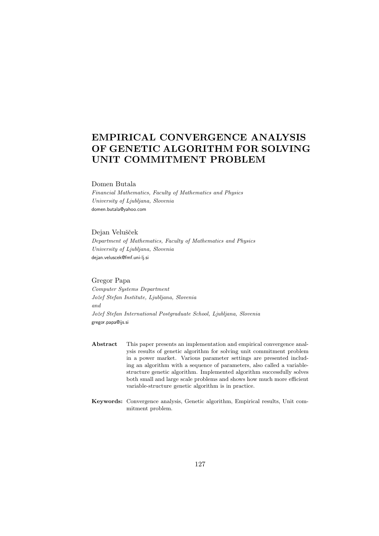# EMPIRICAL CONVERGENCE ANALYSIS OF GENETIC ALGORITHM FOR SOLVING UNIT COMMITMENT PROBLEM

### Domen Butala

Financial Mathematics, Faculty of Mathematics and Physics University of Ljubljana, Slovenia domen.butala@yahoo.com

#### Dejan Velušček

Department of Mathematics, Faculty of Mathematics and Physics University of Ljubljana, Slovenia dejan.veluscek@fmf.uni-lj.si

### Gregor Papa

Computer Systems Department Jožef Stefan Institute, Ljubljana, Slovenia and Jožef Stefan International Postgraduate School, Ljubljana, Slovenia gregor.papa@ijs.si

- Abstract This paper presents an implementation and empirical convergence analysis results of genetic algorithm for solving unit commitment problem in a power market. Various parameter settings are presented including an algorithm with a sequence of parameters, also called a variablestructure genetic algorithm. Implemented algorithm successfully solves both small and large scale problems and shows how much more efficient variable-structure genetic algorithm is in practice.
- Keywords: Convergence analysis, Genetic algorithm, Empirical results, Unit commitment problem.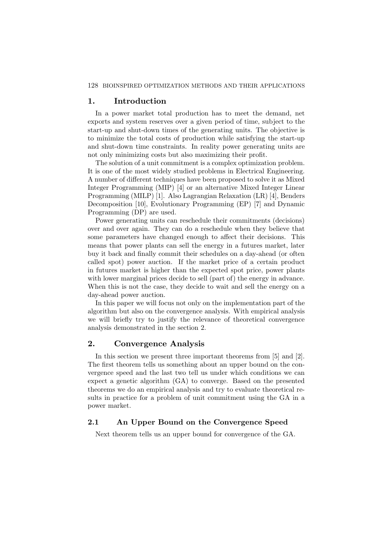#### 128 BIOINSPIRED OPTIMIZATION METHODS AND THEIR APPLICATIONS

## 1. Introduction

In a power market total production has to meet the demand, net exports and system reserves over a given period of time, subject to the start-up and shut-down times of the generating units. The objective is to minimize the total costs of production while satisfying the start-up and shut-down time constraints. In reality power generating units are not only minimizing costs but also maximizing their profit.

The solution of a unit commitment is a complex optimization problem. It is one of the most widely studied problems in Electrical Engineering. A number of different techniques have been proposed to solve it as Mixed Integer Programming (MIP) [4] or an alternative Mixed Integer Linear Programming (MILP) [1]. Also Lagrangian Relaxation (LR) [4], Benders Decomposition [10], Evolutionary Programming (EP) [7] and Dynamic Programming (DP) are used.

Power generating units can reschedule their commitments (decisions) over and over again. They can do a reschedule when they believe that some parameters have changed enough to affect their decisions. This means that power plants can sell the energy in a futures market, later buy it back and finally commit their schedules on a day-ahead (or often called spot) power auction. If the market price of a certain product in futures market is higher than the expected spot price, power plants with lower marginal prices decide to sell (part of) the energy in advance. When this is not the case, they decide to wait and sell the energy on a day-ahead power auction.

In this paper we will focus not only on the implementation part of the algorithm but also on the convergence analysis. With empirical analysis we will briefly try to justify the relevance of theoretical convergence analysis demonstrated in the section 2.

# 2. Convergence Analysis

In this section we present three important theorems from [5] and [2]. The first theorem tells us something about an upper bound on the convergence speed and the last two tell us under which conditions we can expect a genetic algorithm (GA) to converge. Based on the presented theorems we do an empirical analysis and try to evaluate theoretical results in practice for a problem of unit commitment using the GA in a power market.

# 2.1 An Upper Bound on the Convergence Speed

Next theorem tells us an upper bound for convergence of the GA.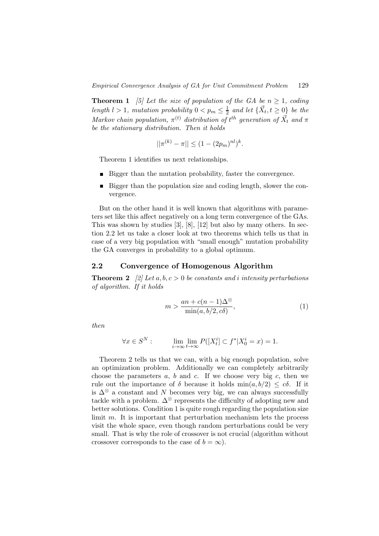**Theorem 1** [5] Let the size of population of the GA be  $n \geq 1$ , coding length  $l > 1$ , mutation probability  $0 < p_m \leq \frac{1}{2}$  $\frac{1}{2}$  and let  $\{\vec{X}_t, t \geq 0\}$  be the Markov chain population,  $\pi^{(t)}$  distribution of  $t^{th}$  generation of  $\vec{X}_t$  and  $\pi$ be the stationary distribution. Then it holds

$$
||\pi^{(k)} - \pi|| \le (1 - (2p_m)^{nl})^k.
$$

Theorem 1 identifies us next relationships.

- Bigger than the mutation probability, faster the convergence.
- Bigger than the population size and coding length, slower the convergence.

But on the other hand it is well known that algorithms with parameters set like this affect negatively on a long term convergence of the GAs. This was shown by studies [3], [8], [12] but also by many others. In section 2.2 let us take a closer look at two theorems which tells us that in case of a very big population with "small enough" mutation probability the GA converges in probability to a global optimum.

### 2.2 Convergence of Homogenous Algorithm

**Theorem 2** [2] Let a, b,  $c > 0$  be constants and i intensity perturbations of algorithm. If it holds

$$
m > \frac{an + c(n-1)\Delta^{\otimes}}{\min(a, b/2, c\delta)},
$$
\n<sup>(1)</sup>

then

$$
\forall x \in S^N: \qquad \lim_{i \to \infty} \lim_{t \to \infty} P([X_t^i] \subset f^* | X_0^i = x) = 1.
$$

Theorem 2 tells us that we can, with a big enough population, solve an optimization problem. Additionally we can completely arbitrarily choose the parameters  $a, b$  and  $c$ . If we choose very big  $c$ , then we rule out the importance of  $\delta$  because it holds  $\min(a, b/2) \leq c\delta$ . If it is  $\Delta^{\otimes}$  a constant and N becomes very big, we can always successfully tackle with a problem.  $\Delta^{\otimes}$  represents the difficulty of adopting new and better solutions. Condition 1 is quite rough regarding the population size limit  $m$ . It is important that perturbation mechanism lets the process visit the whole space, even though random perturbations could be very small. That is why the role of crossover is not crucial (algorithm without crossover corresponds to the case of  $b = \infty$ ).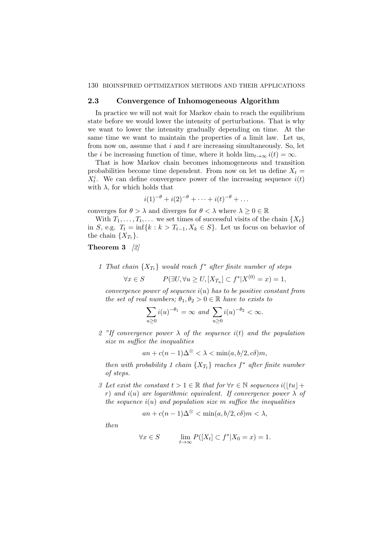### 2.3 Convergence of Inhomogeneous Algorithm

In practice we will not wait for Markov chain to reach the equilibrium state before we would lower the intensity of perturbations. That is why we want to lower the intensity gradually depending on time. At the same time we want to maintain the properties of a limit law. Let us, from now on, assume that  $i$  and  $t$  are increasing simultaneously. So, let the *i* be increasing function of time, where it holds  $\lim_{t\to\infty} i(t) = \infty$ .

That is how Markov chain becomes inhomogeneous and transition probabilities become time dependent. From now on let us define  $X_t =$  $X_t^i$ . We can define convergence power of the increasing sequence  $i(t)$ with  $\lambda$ , for which holds that

$$
i(1)^{-\theta} + i(2)^{-\theta} + \cdots + i(t)^{-\theta} + \ldots
$$

converges for  $\theta > \lambda$  and diverges for  $\theta < \lambda$  where  $\lambda \geq 0 \in \mathbb{R}$ 

With  $T_1, \ldots, T_t, \ldots$  we set times of successful visits of the chain  $\{X_t\}$ in S, e.g.  $T_t = \inf\{k : k > T_{t-1}, X_k \in S\}$ . Let us focus on behavior of the chain  $\{X_{T_t}\}.$ 

### Theorem 3 [2]

1 That chain  $\{X_{T_t}\}\$  would reach  $f^*$  after finite number of steps

 $\forall x \in S$   $P(\exists U, \forall u \ge U, [X_{T_u}] \subset f^* | X^{(0)} = x) = 1,$ 

convergence power of sequence  $i(u)$  has to be positive constant from the set of real numbers;  $\theta_1, \theta_2 > 0 \in \mathbb{R}$  have to exists to

$$
\sum_{u\geq 0} i(u)^{-\theta_1} = \infty \text{ and } \sum_{u\geq 0} i(u)^{-\theta_2} < \infty.
$$

2 "If convergence power  $\lambda$  of the sequence  $i(t)$  and the population size m suffice the inequalities

$$
an + c(n-1)\Delta^{\otimes} < \lambda < \min(a, b/2, c\delta)m,
$$

then with probability 1 chain  $\{X_{T_t}\}$  reaches  $f^*$  after finite number of steps.

3 Let exist the constant  $t > 1 \in \mathbb{R}$  that for  $\forall r \in \mathbb{N}$  sequences  $i(|tu| +$ r) and  $i(u)$  are logarithmic equivalent. If convergence power  $\lambda$  of the sequence  $i(u)$  and population size m suffice the inequalities

$$
an + c(n-1)\Delta^{\otimes} < \min(a, b/2, c\delta)m < \lambda,
$$

then

$$
\forall x \in S \qquad \lim_{t \to \infty} P([X_t] \subset f^* | X_0 = x) = 1.
$$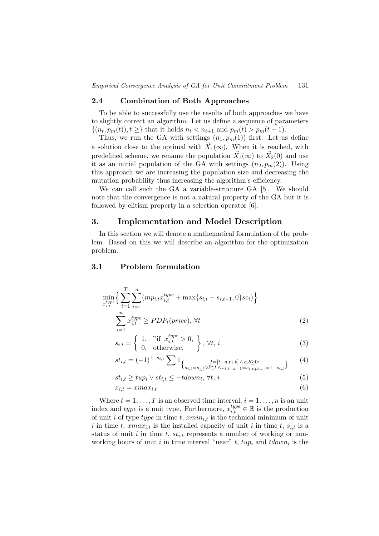# 2.4 Combination of Both Approaches

To be able to successfully use the results of both approaches we have to slightly correct an algorithm. Let us define a sequence of parameters  $\{(n_t, p_m(t)), t \geq \}$  that it holds  $n_t < n_{t+1}$  and  $p_m(t) > p_m(t+1)$ .

Thus, we run the GA with settings  $(n_1, p_m(1))$  first. Let us define a solution close to the optimal with  $\vec{X}_1(\infty)$ . When it is reached, with predefined scheme, we rename the population  $\vec{X}_1(\infty)$  to  $\vec{X}_2(0)$  and use it as an initial population of the GA with settings  $(n_2, p_m(2))$ . Using this approach we are increasing the population size and decreasing the mutation probability thus increasing the algorithm's efficiency.

We can call such the GA a variable-structure GA [5]. We should note that the convergence is not a natural property of the GA but it is followed by elitism property in a selection operator [6].

# 3. Implementation and Model Description

In this section we will denote a mathematical formulation of the problem. Based on this we will describe an algorithm for the optimization problem.

# 3.1 Problem formulation

$$
\min_{x_{i,t}^{type}} \left\{ \sum_{t=1}^{T} \sum_{i=1}^{n} (mp_{i,t} x_{i,t}^{type} + \max\{s_{i,t} - s_{i,t-1}, 0\} s c_i) \right\}
$$
\n
$$
\sum_{i,t}^{n} x_{i,t}^{type} \geq PDP_t(price), \forall t
$$
\n(2)

$$
\overline{i=1}
$$
\n
$$
s_{i,t} = \left\{ \begin{array}{ll} 1, & \text{if } x_{i,t}^{type} > 0, \\ 0, & \text{otherwise.} \end{array} \right\}, \forall t, i
$$
\n(3)

$$
s_{i,t} = \begin{cases} 1, & \text{if } x_{i,t} > 0, \\ 0, & \text{otherwise.} \end{cases}, \forall t, i
$$
\n
$$
st_{i,t} = (-1)^{1 - s_{i,t}} \sum 1, \qquad t = \begin{cases} t, & \text{if } t \neq 0, \\ t & \text{otherwise.} \end{cases}
$$
\n
$$
(3)
$$

$$
st_{i,t} = (-1)^{1-s_{i,t}} \sum 1_{\{s_{i,t}=s_{i,\bar{t}} \forall \bar{t} \in I \,\wedge\, s_{i,t-a-1}=s_{i,t+b+1}=1-s_{i,t}\}} \qquad (4)
$$

$$
st_{i,t} \ge \t{tup_i \vee st_{i,t} \le -tdown_i, \forall t, i
$$
\n
$$
(5)
$$

$$
x_{i,t} = xmax_{i,t} \tag{6}
$$

Where  $t = 1, \ldots, T$  is an observed time interval,  $i = 1, \ldots, n$  is an unit index and type is a unit type. Furthermore,  $x_{i,t}^{type} \in \mathbb{R}$  is the production of unit i of type type in time t,  $xmin_{i,t}$  is the technical minimum of unit i in time t,  $xmax_{i,t}$  is the installed capacity of unit i in time t,  $s_{i,t}$  is a status of unit i in time t,  $st_{i,t}$  represents a number of working or nonworking hours of unit *i* in time interval "near"  $t$ ,  $tup_i$  and  $tdown_i$  is the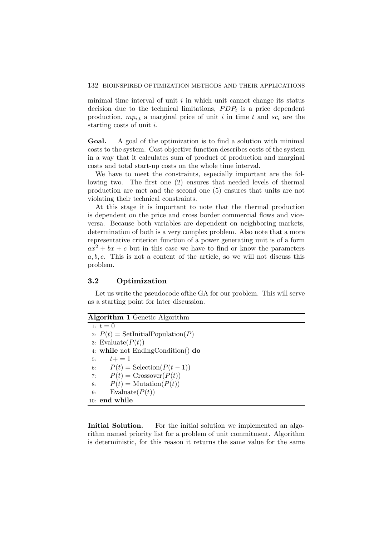minimal time interval of unit  $i$  in which unit cannot change its status decision due to the technical limitations,  $PDP<sub>t</sub>$  is a price dependent production,  $mp_{i,t}$  a marginal price of unit i in time t and  $sc_i$  are the starting costs of unit i.

Goal. A goal of the optimization is to find a solution with minimal costs to the system. Cost objective function describes costs of the system in a way that it calculates sum of product of production and marginal costs and total start-up costs on the whole time interval.

We have to meet the constraints, especially important are the following two. The first one (2) ensures that needed levels of thermal production are met and the second one (5) ensures that units are not violating their technical constraints.

At this stage it is important to note that the thermal production is dependent on the price and cross border commercial flows and viceversa. Because both variables are dependent on neighboring markets, determination of both is a very complex problem. Also note that a more representative criterion function of a power generating unit is of a form  $ax^{2} + bx + c$  but in this case we have to find or know the parameters  $a, b, c$ . This is not a content of the article, so we will not discuss this problem.

### 3.2 Optimization

Let us write the pseudocode ofthe GA for our problem. This will serve as a starting point for later discussion.

# Algorithm 1 Genetic Algorithm 1:  $t = 0$ 2:  $P(t) = \text{SetInitialPopulation}(P)$ 3: Evaluate $(P(t))$ 4: while not EndingCondition() do 5:  $t+=1$ 6:  $P(t) = \text{Selection}(P(t-1))$ <br>7:  $P(t) = \text{Crossover}(P(t))$  $P(t) = \text{Crossover}(P(t))$ 8:  $P(t) = \text{Mutation}(P(t))$ 9: Evaluate $(P(t))$ 10: end while

Initial Solution. For the initial solution we implemented an algorithm named priority list for a problem of unit commitment. Algorithm is deterministic, for this reason it returns the same value for the same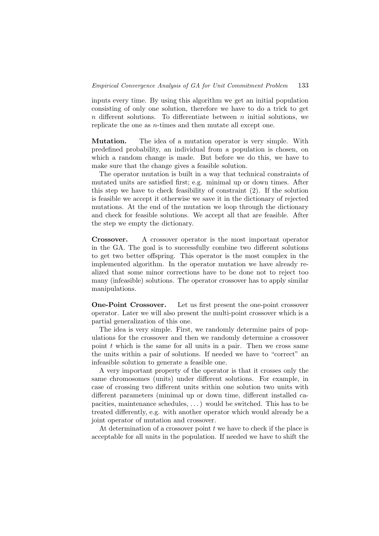inputs every time. By using this algorithm we get an initial population consisting of only one solution, therefore we have to do a trick to get n different solutions. To differentiate between  $n$  initial solutions, we replicate the one as n-times and then mutate all except one.

Mutation. The idea of a mutation operator is very simple. With predefined probability, an individual from a population is chosen, on which a random change is made. But before we do this, we have to make sure that the change gives a feasible solution.

The operator mutation is built in a way that technical constraints of mutated units are satisfied first; e.g. minimal up or down times. After this step we have to check feasibility of constraint (2). If the solution is feasible we accept it otherwise we save it in the dictionary of rejected mutations. At the end of the mutation we loop through the dictionary and check for feasible solutions. We accept all that are feasible. After the step we empty the dictionary.

Crossover. A crossover operator is the most important operator in the GA. The goal is to successfully combine two different solutions to get two better offspring. This operator is the most complex in the implemented algorithm. In the operator mutation we have already realized that some minor corrections have to be done not to reject too many (infeasible) solutions. The operator crossover has to apply similar manipulations.

One-Point Crossover. Let us first present the one-point crossover operator. Later we will also present the multi-point crossover which is a partial generalization of this one.

The idea is very simple. First, we randomly determine pairs of populations for the crossover and then we randomly determine a crossover point  $t$  which is the same for all units in a pair. Then we cross same the units within a pair of solutions. If needed we have to "correct" an infeasible solution to generate a feasible one.

A very important property of the operator is that it crosses only the same chromosomes (units) under different solutions. For example, in case of crossing two different units within one solution two units with different parameters (minimal up or down time, different installed capacities, maintenance schedules, . . . ) would be switched. This has to be treated differently, e.g. with another operator which would already be a joint operator of mutation and crossover.

At determination of a crossover point  $t$  we have to check if the place is acceptable for all units in the population. If needed we have to shift the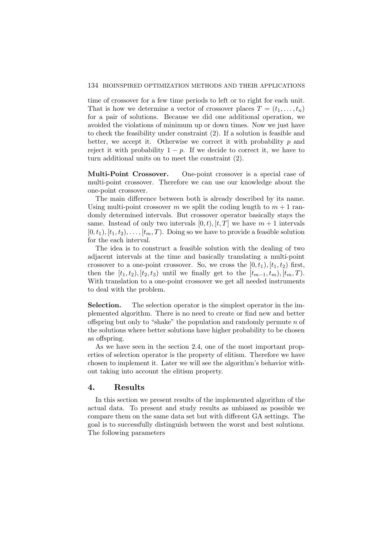time of crossover for a few time periods to left or to right for each unit. That is how we determine a vector of crossover places  $T = (t_1, \ldots, t_n)$ for a pair of solutions. Because we did one additional operation, we avoided the violations of minimum up or down times. Now we just have to check the feasibility under constraint (2). If a solution is feasible and better, we accept it. Otherwise we correct it with probability  $p$  and reject it with probability  $1 - p$ . If we decide to correct it, we have to turn additional units on to meet the constraint (2).

Multi-Point Crossover. One-point crossover is a special case of multi-point crossover. Therefore we can use our knowledge about the one-point crossover.

The main difference between both is already described by its name. Using multi-point crossover m we split the coding length to  $m + 1$  randomly determined intervals. But crossover operator basically stays the same. Instead of only two intervals  $[0, t)$ ,  $[t, T]$  we have  $m + 1$  intervals  $[0, t_1), [t_1, t_2), \ldots, [t_m, T)$ . Doing so we have to provide a feasible solution for the each interval.

The idea is to construct a feasible solution with the dealing of two adjacent intervals at the time and basically translating a multi-point crossover to a one-point crossover. So, we cross the  $[0, t_1), [t_1, t_2)$  first, then the  $[t_1, t_2), [t_2, t_3)$  until we finally get to the  $[t_{m-1}, t_m), [t_m, T)$ . With translation to a one-point crossover we get all needed instruments to deal with the problem.

Selection. The selection operator is the simplest operator in the implemented algorithm. There is no need to create or find new and better offspring but only to "shake" the population and randomly permute  $n$  of the solutions where better solutions have higher probability to be chosen as offspring.

As we have seen in the section 2.4, one of the most important properties of selection operator is the property of elitism. Therefore we have chosen to implement it. Later we will see the algorithm's behavior without taking into account the elitism property.

### 4. Results

In this section we present results of the implemented algorithm of the actual data. To present and study results as unbiased as possible we compare them on the same data set but with different GA settings. The goal is to successfully distinguish between the worst and best solutions. The following parameters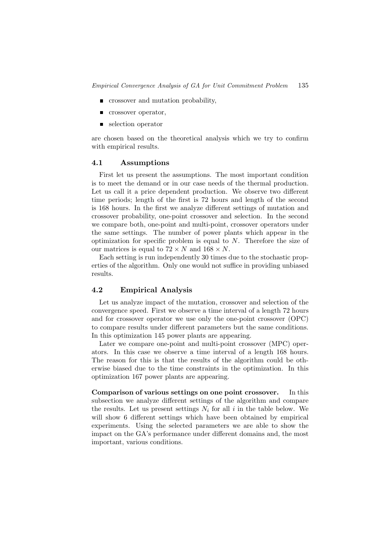- $\blacksquare$  crossover and mutation probability,
- **crossover operator,**
- selection operator

are chosen based on the theoretical analysis which we try to confirm with empirical results.

### 4.1 Assumptions

First let us present the assumptions. The most important condition is to meet the demand or in our case needs of the thermal production. Let us call it a price dependent production. We observe two different time periods; length of the first is 72 hours and length of the second is 168 hours. In the first we analyze different settings of mutation and crossover probability, one-point crossover and selection. In the second we compare both, one-point and multi-point, crossover operators under the same settings. The number of power plants which appear in the optimization for specific problem is equal to  $N$ . Therefore the size of our matrices is equal to  $72 \times N$  and  $168 \times N$ .

Each setting is run independently 30 times due to the stochastic properties of the algorithm. Only one would not suffice in providing unbiased results.

### 4.2 Empirical Analysis

Let us analyze impact of the mutation, crossover and selection of the convergence speed. First we observe a time interval of a length 72 hours and for crossover operator we use only the one-point crossover (OPC) to compare results under different parameters but the same conditions. In this optimization 145 power plants are appearing.

Later we compare one-point and multi-point crossover (MPC) operators. In this case we observe a time interval of a length 168 hours. The reason for this is that the results of the algorithm could be otherwise biased due to the time constraints in the optimization. In this optimization 167 power plants are appearing.

Comparison of various settings on one point crossover. In this subsection we analyze different settings of the algorithm and compare the results. Let us present settings  $N_i$  for all i in the table below. We will show 6 different settings which have been obtained by empirical experiments. Using the selected parameters we are able to show the impact on the GA's performance under different domains and, the most important, various conditions.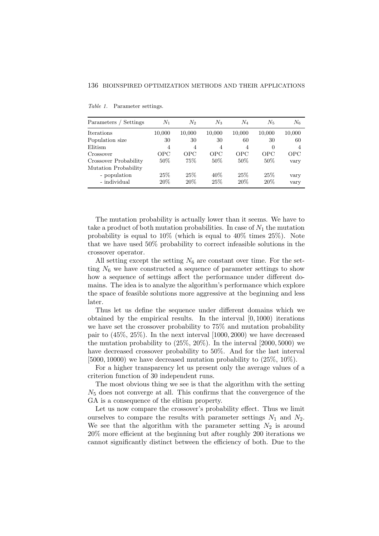| Parameters / Settings | $N_{\rm 1}$    | $N_2$          | $N_3$      | $N_{4}$    | $N_5$    | $N_6$      |
|-----------------------|----------------|----------------|------------|------------|----------|------------|
| <b>Iterations</b>     | 10,000         | 10,000         | 10,000     | 10,000     | 10,000   | 10,000     |
| Population size       | 30             | 30             | 30         | 60         | 30       | 60         |
| Elitism               | $\overline{4}$ | $\overline{4}$ | 4          | 4          | $\theta$ | 4          |
| Crossover             | OPC            | OPC            | <b>OPC</b> | <b>OPC</b> | OPC      | <b>OPC</b> |
| Crossover Probability | $50\%$         | 75%            | 50%        | $50\%$     | $50\%$   | vary       |
| Mutation Probability  |                |                |            |            |          |            |
| - population          | 25\%           | 25\%           | 40\%       | 25\%       | 25\%     | vary       |
| - individual          | 20%            | 20%            | 25\%       | 20%        | $20\%$   | vary       |

Table 1. Parameter settings.

The mutation probability is actually lower than it seems. We have to take a product of both mutation probabilities. In case of  $N_1$  the mutation probability is equal to  $10\%$  (which is equal to  $40\%$  times  $25\%$ ). Note that we have used 50% probability to correct infeasible solutions in the crossover operator.

All setting except the setting  $N_6$  are constant over time. For the setting  $N_6$  we have constructed a sequence of parameter settings to show how a sequence of settings affect the performance under different domains. The idea is to analyze the algorithm's performance which explore the space of feasible solutions more aggressive at the beginning and less later.

Thus let us define the sequence under different domains which we obtained by the empirical results. In the interval [0, 1000) iterations we have set the crossover probability to 75% and mutation probability pair to  $(45\%, 25\%)$ . In the next interval  $[1000, 2000)$  we have decreased the mutation probability to  $(25\%, 20\%)$ . In the interval  $[2000, 5000)$  we have decreased crossover probability to 50%. And for the last interval [5000, 10000) we have decreased mutation probability to  $(25\%, 10\%)$ .

For a higher transparency let us present only the average values of a criterion function of 30 independent runs.

The most obvious thing we see is that the algorithm with the setting  $N_5$  does not converge at all. This confirms that the convergence of the GA is a consequence of the elitism property.

Let us now compare the crossover's probability effect. Thus we limit ourselves to compare the results with parameter settings  $N_1$  and  $N_2$ . We see that the algorithm with the parameter setting  $N_2$  is around 20% more efficient at the beginning but after roughly 200 iterations we cannot significantly distinct between the efficiency of both. Due to the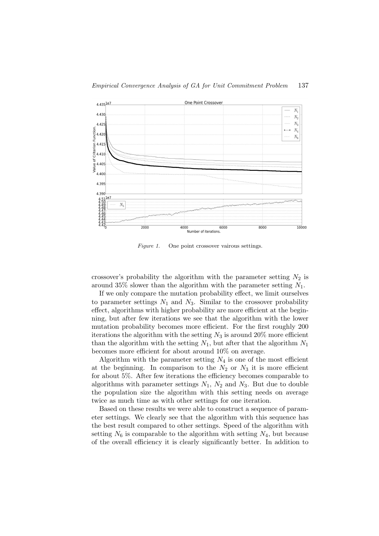

Figure 1. One point crossover vairous settings.

crossover's probability the algorithm with the parameter setting  $N_2$  is around 35% slower than the algorithm with the parameter setting  $N_1$ .

If we only compare the mutation probability effect, we limit ourselves to parameter settings  $N_1$  and  $N_3$ . Similar to the crossover probability effect, algorithms with higher probability are more efficient at the beginning, but after few iterations we see that the algorithm with the lower mutation probability becomes more efficient. For the first roughly 200 iterations the algorithm with the setting  $N_3$  is around 20% more efficient than the algorithm with the setting  $N_1$ , but after that the algorithm  $N_1$ becomes more efficient for about around 10% on average.

Algorithm with the parameter setting  $N_4$  is one of the most efficient at the beginning. In comparison to the  $N_2$  or  $N_3$  it is more efficient for about 5%. After few iterations the efficiency becomes comparable to algorithms with parameter settings  $N_1$ ,  $N_2$  and  $N_3$ . But due to double the population size the algorithm with this setting needs on average twice as much time as with other settings for one iteration.

Based on these results we were able to construct a sequence of parameter settings. We clearly see that the algorithm with this sequence has the best result compared to other settings. Speed of the algorithm with setting  $N_6$  is comparable to the algorithm with setting  $N_4$ , but because of the overall efficiency it is clearly significantly better. In addition to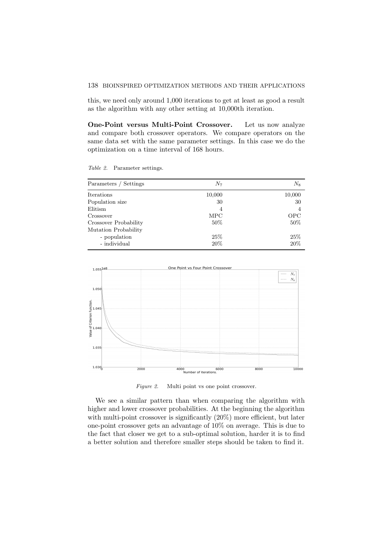#### 138 BIOINSPIRED OPTIMIZATION METHODS AND THEIR APPLICATIONS

this, we need only around 1,000 iterations to get at least as good a result as the algorithm with any other setting at 10,000th iteration.

One-Point versus Multi-Point Crossover. Let us now analyze and compare both crossover operators. We compare operators on the same data set with the same parameter settings. In this case we do the optimization on a time interval of 168 hours.

Table 2. Parameter settings.

| Parameters / Settings | $N_{7}$        | $N_8$  |
|-----------------------|----------------|--------|
| Iterations            | 10,000         | 10,000 |
| Population size       | 30             | 30     |
| Elitism               | $\overline{4}$ | 4      |
| Crossover             | <b>MPC</b>     | OPC    |
| Crossover Probability | 50%            | 50%    |
| Mutation Probability  |                |        |
| - population          | 25\%           | 25\%   |
| - individual          | 20%            | 20%    |



Figure 2. Multi point vs one point crossover.

We see a similar pattern than when comparing the algorithm with higher and lower crossover probabilities. At the beginning the algorithm with multi-point crossover is significantly  $(20\%)$  more efficient, but later one-point crossover gets an advantage of 10% on average. This is due to the fact that closer we get to a sub-optimal solution, harder it is to find a better solution and therefore smaller steps should be taken to find it.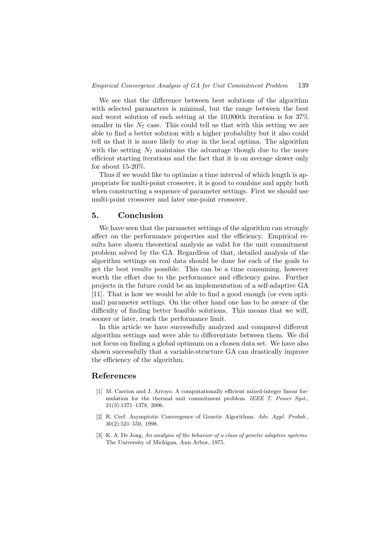We see that the difference between best solutions of the algorithm with selected parameters is minimal, but the range between the best and worst solution of each setting at the 10,000th iteration is for 37% smaller in the  $N_7$  case. This could tell us that with this setting we are able to find a better solution with a higher probability but it also could tell us that it is more likely to stay in the local optima. The algorithm with the setting  $N_7$  maintains the advantage though due to the more efficient starting iterations and the fact that it is on average slower only for about 15-20%.

Thus if we would like to optimize a time interval of which length is appropriate for multi-point crossover, it is good to combine and apply both when constructing a sequence of parameter settings. First we should use multi-point crossover and later one-point crossover.

# 5. Conclusion

We have seen that the parameter settings of the algorithm can strongly affect on the performance properties and the efficiency. Empirical results have shown theoretical analysis as valid for the unit commitment problem solved by the GA. Regardless of that, detailed analysis of the algorithm settings on real data should be done for each of the goals to get the best results possible. This can be a time consuming, however worth the effort due to the performance and efficiency gains. Further projects in the future could be an implementation of a self-adaptive GA [11]. That is how we would be able to find a good enough (or even optimal) parameter settings. On the other hand one has to be aware of the difficulty of finding better feasible solutions. This means that we will, sooner or later, reach the performance limit.

In this article we have successfully analyzed and compared different algorithm settings and were able to differentiate between them. We did not focus on finding a global optimum on a chosen data set. We have also shown successfully that a variable-structure GA can drastically improve the efficiency of the algorithm.

# References

- [1] M. Carrion and J. Arroyo. A computationally efficient mixed-integer linear formulation for the thermal unit commitment problem. IEEE T. Power Syst., 21(3):1371–1378, 2006.
- [2] R. Cerf. Asymptotic Convergence of Genetic Algorithms. Adv. Appl. Probab., 30(2):521–550, 1998.
- [3] K. A. De Jong. An analysis of the behavior of a class of genetic adaptive systems. The University of Michigan, Ann Arbor, 1975.